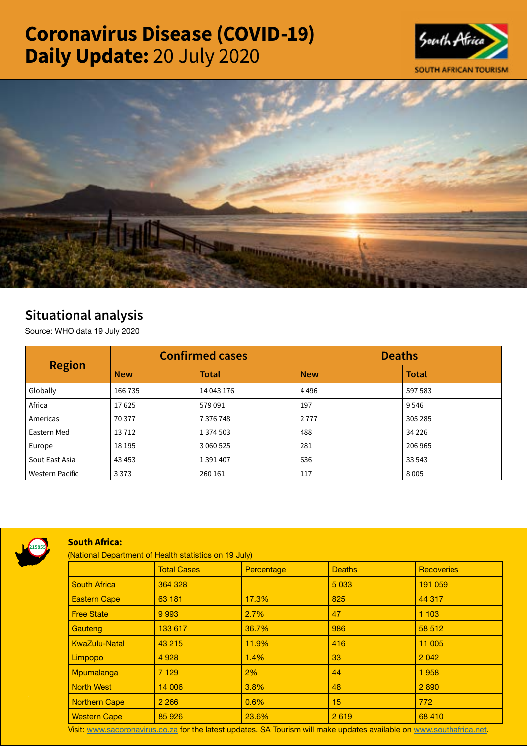# Coronavirus Disease (COVID-19) Daily Update: 20 July 2020





# Situational analysis

Source: WHO data 19 July 2020

| <b>Region</b>   | <b>Confirmed cases</b> |              | <b>Deaths</b> |              |
|-----------------|------------------------|--------------|---------------|--------------|
|                 | <b>New</b>             | <b>Total</b> | <b>New</b>    | <b>Total</b> |
| Globally        | 166735                 | 14 043 176   | 4496          | 597 583      |
| Africa          | 17625                  | 579091       | 197           | 9546         |
| Americas        | 70 377                 | 7376748      | 2777          | 305 285      |
| Eastern Med     | 13712                  | 1 374 503    | 488           | 34 2 26      |
| Europe          | 18 195                 | 3 060 525    | 281           | 206 965      |
| Sout East Asia  | 43 4 53                | 1 391 407    | 636           | 33 5 43      |
| Western Pacific | 3 3 7 3                | 260 161      | 117           | 8005         |



#### South Africa:

(National Department of Health statistics on 19 July)

|                      | <b>Total Cases</b> | Percentage | <b>Deaths</b> | Recoveries |
|----------------------|--------------------|------------|---------------|------------|
| <b>South Africa</b>  | 364 328            |            | 5 0 3 3       | 191 059    |
| <b>Eastern Cape</b>  | 63 181             | 17.3%      | 825           | 44 317     |
| <b>Free State</b>    | 9 9 9 3            | 2.7%       | 47            | 1103       |
| <b>Gauteng</b>       | 133 617            | 36.7%      | 986           | 58 512     |
| <b>KwaZulu-Natal</b> | 43 215             | 11.9%      | 416           | 11 005     |
| <b>Limpopo</b>       | 4 9 28             | 1.4%       | 33            | 2 0 4 2    |
| Mpumalanga           | 7 1 2 9            | $2\%$      | 44            | 1958       |
| <b>North West</b>    | 14 006             | $3.8\%$    | 48            | 2 8 9 0    |
| <b>Northern Cape</b> | 2 2 6 6            | 0.6%       | 15            | 772        |
| <b>Western Cape</b>  | 85 926             | 23.6%      | 2619          | 68 410     |

Visit: [www.sacoronavirus.co.za](http://www.sacoronavirus.co.za) for the latest updates. SA Tourism will make updates available on [www.southafrica.net.](http://www.southafrica.net)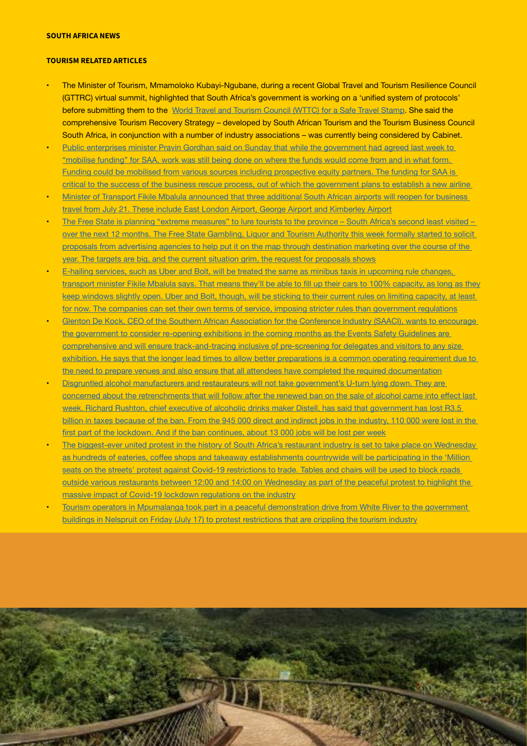## SOUTH AFRICA NEWS

### TOURISM RELATED ARTICLES

- The Minister of Tourism, Mmamoloko Kubayi-Ngubane, during a recent Global Travel and Tourism Resilience Council (GTTRC) virtual summit, highlighted that South Africa's government is working on a 'unified system of protocols' before submitting them to the [World Travel and Tourism Council \(WTTC\) for a Safe Travel Stamp](https://www.tourismupdate.co.za/article/delays-approval-sas-safety-protocols). She said the comprehensive Tourism Recovery Strategy – developed by South African Tourism and the Tourism Business Council South Africa, in conjunction with a number of industry associations – was currently being considered by Cabinet.
- Public enterprises minister Pravin Gordhan said on Sunday that while the government had agreed last week to ["mobilise funding" for SAA, work was still being done on where the funds would come from and in what form.](https://www.businesslive.co.za/bd/national/2020-07-19-gordhan-says-state-still-finalising-saa-funding-plan/)  [Funding could be mobilised from various sources including prospective equity partners. The funding for SAA is](https://www.businesslive.co.za/bd/national/2020-07-19-gordhan-says-state-still-finalising-saa-funding-plan/)  [critical to the success of the business rescue process, out of which the government plans to establish a new airline](https://www.businesslive.co.za/bd/national/2020-07-19-gordhan-says-state-still-finalising-saa-funding-plan/)
- Minister of Transport Fikile Mbalula announced that three additional South African airports will reopen for business [travel from July 21. These include East London Airport, George Airport and Kimberley Airport](https://www.iol.co.za/travel/travel-news/3-south-african-airports-to-reopen-from-july-21-51114529)
- The Free State is planning "extreme measures" to lure tourists to the province South Africa's second least visited [over the next 12 months. The Free State Gambling, Liquor and Tourism Authority this week formally started to solicit](https://www.businessinsider.co.za/travel/the-free-states-big-plan-to-lure-tourists-to-sas-2nd-least-favourite-province-2020-7)  [proposals from advertising agencies to help put it on the map through destination marketing over the course of the](https://www.businessinsider.co.za/travel/the-free-states-big-plan-to-lure-tourists-to-sas-2nd-least-favourite-province-2020-7)  [year. The targets are big, and the current situation grim, the request for proposals shows](https://www.businessinsider.co.za/travel/the-free-states-big-plan-to-lure-tourists-to-sas-2nd-least-favourite-province-2020-7)
- E-hailing services, such as Uber and Bolt, will be treated the same as minibus taxis in upcoming rule changes, [transport](https://www.businessinsider.co.za/e-hailing-cars-can-be-100-full-mbalula-says-but-uber-and-bolt-wont-fill-up-2020-7) minister Fikile Mbalula says. That means they'll be able to fill up their cars to 100% capacity, as long as they [keep windows slightly open. Uber and Bolt, though, will be sticking to their current rules on limiting capacity, at least](https://www.businessinsider.co.za/e-hailing-cars-can-be-100-full-mbalula-says-but-uber-and-bolt-wont-fill-up-2020-7)  [for now. The companies can set their own terms of service, imposing stricter rules than government regulations](https://www.businessinsider.co.za/e-hailing-cars-can-be-100-full-mbalula-says-but-uber-and-bolt-wont-fill-up-2020-7)
- Glenton De Kock, CEO of the Southern African Association for the Conference Industry (SAACI), wants to encourage [the government to consider re-opening exhibitions in the coming months as the Events Safety Guidelines are](https://www.news24.com/fin24/companies/travelandleisure/event-industry-sets-out-to-prove-its-got-safety-down-pat-hoping-for-bigger-gatherings-20200718)  [comprehensive and will ensure track-and-tracing inclusive of pre-screening for delegates and visitors to any size](https://www.news24.com/fin24/companies/travelandleisure/event-industry-sets-out-to-prove-its-got-safety-down-pat-hoping-for-bigger-gatherings-20200718)  exhibition. He says that the longer lead times to allow better preparations is a common operating requirement due to [the need to prepare venues and also ensure that all attendees have completed the required documentation](https://www.news24.com/fin24/companies/travelandleisure/event-industry-sets-out-to-prove-its-got-safety-down-pat-hoping-for-bigger-gatherings-20200718)
- Disgruntled alcohol manufacturers and restaurateurs will not take government's U-turn lying down. They are concerned about the [retrenchments](https://www.news24.com/citypress/news/alcohol-manufacturers-and-restaurant-owners-vow-not-to-take-new-ban-lying-down-as-thousands-of-job-cuts-loom-20200719) that will follow after the renewed ban on the sale of alcohol came into effect last [week. Richard Rushton, chief executive of alcoholic drinks maker Distell, has said that government has lost R3.5](https://www.news24.com/citypress/news/alcohol-manufacturers-and-restaurant-owners-vow-not-to-take-new-ban-lying-down-as-thousands-of-job-cuts-loom-20200719)  [billion in taxes because of the ban. From the 945 000 direct and indirect jobs in the industry, 110 000 were lost in the](https://www.news24.com/citypress/news/alcohol-manufacturers-and-restaurant-owners-vow-not-to-take-new-ban-lying-down-as-thousands-of-job-cuts-loom-20200719)  first part of the lockdown. And if the ban [continues,](https://www.news24.com/citypress/news/alcohol-manufacturers-and-restaurant-owners-vow-not-to-take-new-ban-lying-down-as-thousands-of-job-cuts-loom-20200719) about 13 000 jobs will be lost per week
- The biggest-ever united protest in the history of South Africa's restaurant industry is set to take place on Wednesday as hundreds of eateries, coffee shops and takeaway [establishments](https://www.moneyweb.co.za/news/south-africa/restaurants-set-for-million-seats-on-the-streets-protest-this-week/) countrywide will be participating in the 'Million seats on the streets' protest against Covid-19 restrictions to trade. Tables and chairs will be used to block roads [outside various restaurants between 12:00 and 14:00 on Wednesday as part of the peaceful protest to highlight the](https://www.moneyweb.co.za/news/south-africa/restaurants-set-for-million-seats-on-the-streets-protest-this-week/)  [massive impact of Covid-19 lockdown regulations on the industry](https://www.moneyweb.co.za/news/south-africa/restaurants-set-for-million-seats-on-the-streets-protest-this-week/)
- Tourism operators in Mpumalanga took part in a peaceful demonstration drive from White River to the government [buildings in Nelspruit on Friday \(July 17\) to protest restrictions that are crippling the tourism industry](https://www.tourismupdate.co.za/article/industry-takes-streets-peaceful-protests)